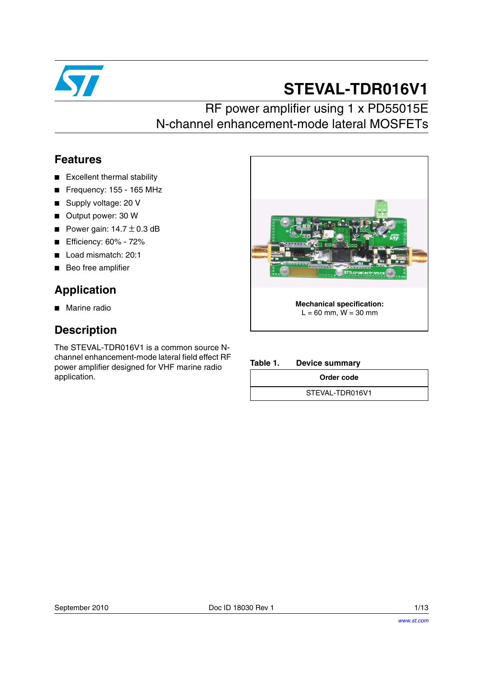

# **STEVAL-TDR016V1**

### RF power amplifier using 1 x PD55015E N-channel enhancement-mode lateral MOSFETs

#### **Features**

- Excellent thermal stability
- Frequency: 155 165 MHz
- Supply voltage: 20 V
- Output power: 30 W
- Power gain:  $14.7 \pm 0.3$  dB
- Efficiency: 60% 72%
- Load mismatch: 20:1
- Beo free amplifier

### **Application**

■ Marine radio

#### **Description**

The STEVAL-TDR016V1 is a common source Nchannel enhancement-mode lateral field effect RF power amplifier designed for VHF marine radio application.



**Table 1. Device summary**

**Order code**

STEVAL-TDR016V1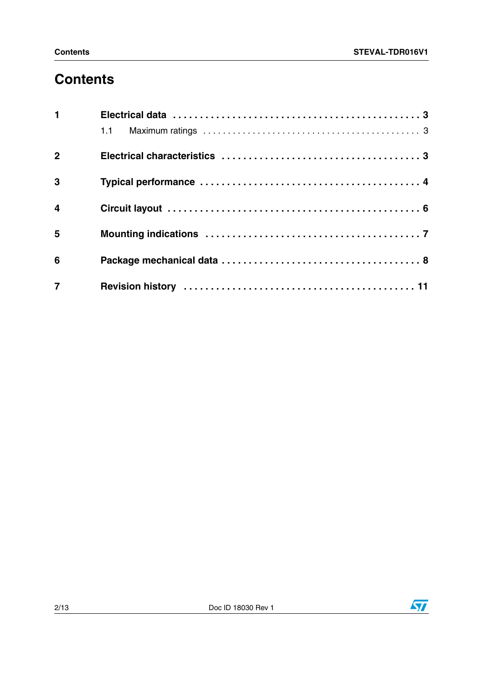# **Contents**

| $\mathbf{1}$            |  |
|-------------------------|--|
|                         |  |
| 2 <sup>1</sup>          |  |
| 3                       |  |
| $\overline{\mathbf{4}}$ |  |
| 5                       |  |
| 6                       |  |
| $\overline{7}$          |  |

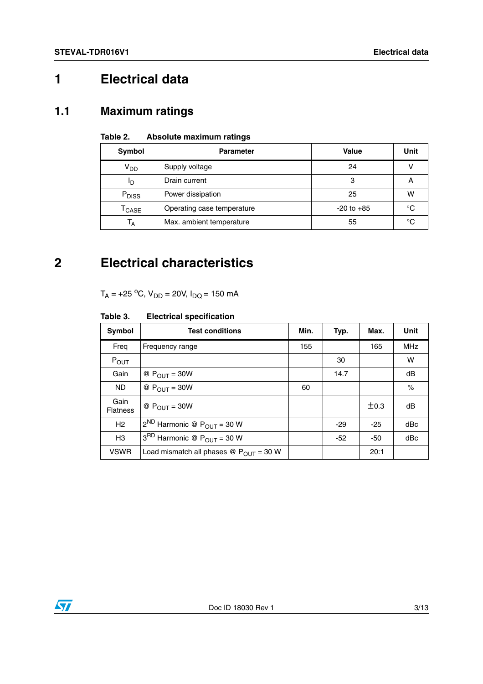## <span id="page-2-0"></span>**1 Electrical data**

#### <span id="page-2-1"></span>**1.1 Maximum ratings**

#### **Table 2. Absolute maximum ratings**

| Symbol                                     | <b>Parameter</b>           | Value          | <b>Unit</b> |
|--------------------------------------------|----------------------------|----------------|-------------|
| V <sub>DD</sub>                            | Supply voltage             | 24             |             |
| םי                                         | Drain current              | 3              | Α           |
| P <sub>DISS</sub>                          | Power dissipation          | 25             | w           |
| $\mathsf{r}_{\mathsf{CASE}}$               | Operating case temperature | $-20$ to $+85$ | °C          |
| Max. ambient temperature<br>T <sub>A</sub> |                            | 55             | °C          |

### <span id="page-2-2"></span>**2 Electrical characteristics**

 $T_A = +25 °C$ ,  $V_{DD} = 20 V$ ,  $I_{DQ} = 150$  mA

#### **Table 3. Electrical specification**

| <b>Symbol</b>           | <b>Test conditions</b>                                       | Min. | Typ.  | Max.  | Unit       |
|-------------------------|--------------------------------------------------------------|------|-------|-------|------------|
| Freq                    | Frequency range                                              | 155  |       | 165   | <b>MHz</b> |
| POUT                    |                                                              |      | 30    |       | W          |
| Gain                    | @ $P_{OUIT} = 30W$                                           |      | 14.7  |       | dB         |
| ND.                     | @ $P_{OUT} = 30W$                                            | 60   |       |       | $\%$       |
| Gain<br><b>Flatness</b> | @ $P_{OUIT} = 30W$                                           |      |       | ±0.3  | dB         |
| H <sub>2</sub>          | $2^{ND}$ Harmonic @ $P_{OUT} = 30$ W                         |      | $-29$ | $-25$ | dBc        |
| H <sub>3</sub>          | $3^{RD}$ Harmonic @ $P_{OUT} = 30 W$                         |      | $-52$ | -50   | dBc        |
| <b>VSWR</b>             | Load mismatch all phases $\circledR$ P <sub>OUT</sub> = 30 W |      |       | 20:1  |            |

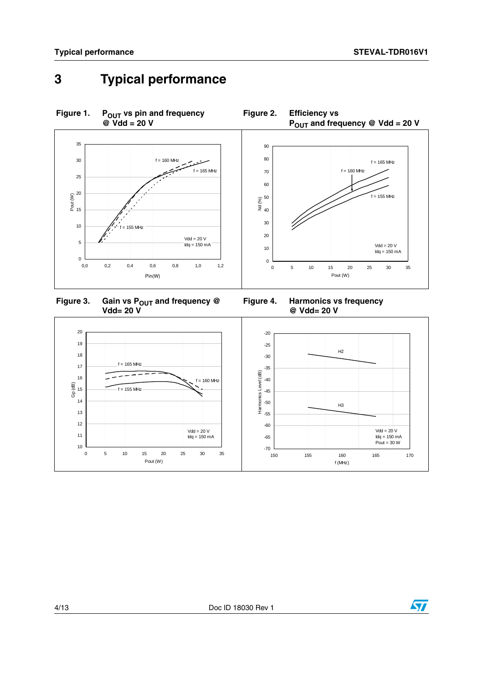## <span id="page-3-0"></span>**3 Typical performance**



Figure 3. Gain vs P<sub>OUT</sub> and frequency @ **Vdd= 20 V**

**Figure 4. Harmonics vs frequency @ Vdd= 20 V**



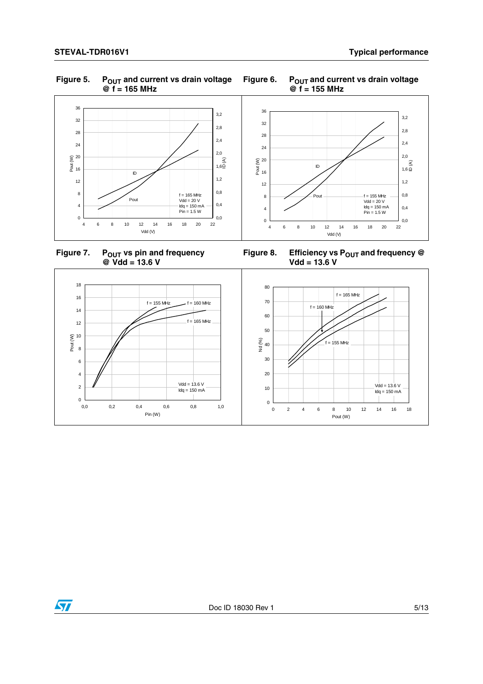#### Figure 5. P<sub>OUT</sub> and current vs drain voltage **@ f = 165 MHz**



Figure 7. P<sub>OUT</sub> vs pin and frequency **@ Vdd = 13.6 V**





Figure 8. Efficiency vs P<sub>OUT</sub> and frequency @ **Vdd = 13.6 V**



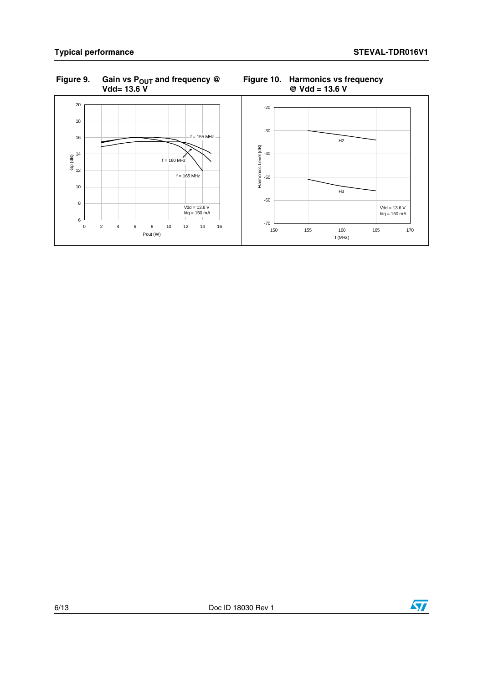6 8

10 12  $\frac{14}{5}$ 

16

18 20

#### **Figure 9. Gain vs POUT and frequency @ Vdd= 13.6 V**



#### **Figure 10. Harmonics vs frequency @ Vdd = 13.6 V**

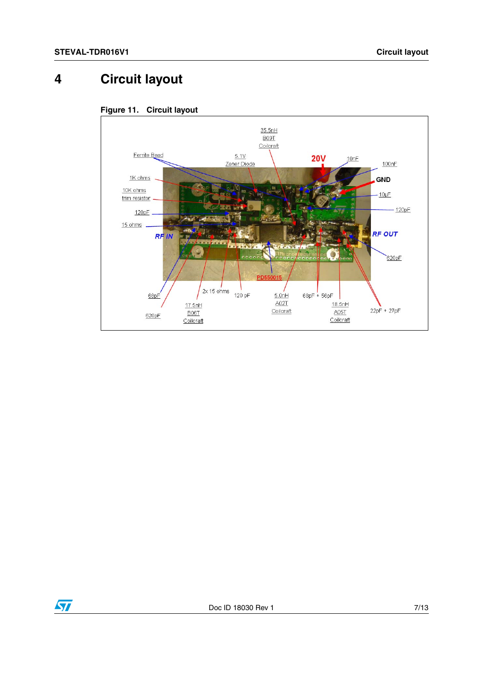### <span id="page-6-0"></span>**4 Circuit layout**





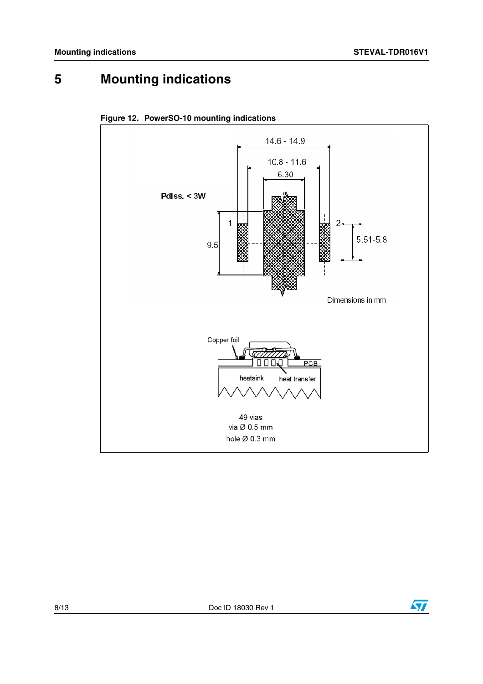# <span id="page-7-0"></span>**5 Mounting indications**





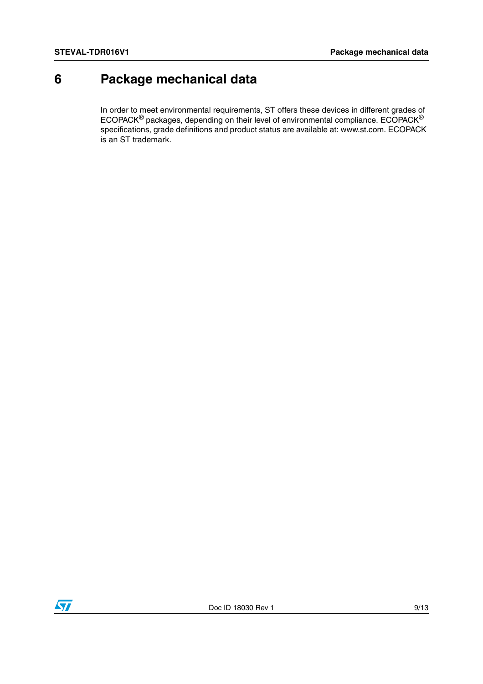### <span id="page-8-0"></span>**6 Package mechanical data**

In order to meet environmental requirements, ST offers these devices in different grades of ECOPACK® packages, depending on their level of environmental compliance. ECOPACK® specifications, grade definitions and product status are available at: www.st.com. ECOPACK is an ST trademark.

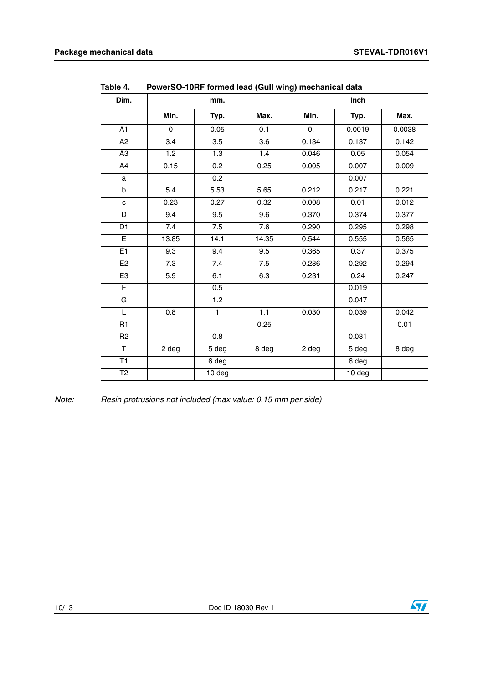| Dim.           | mm.      |              |       |                | Inch   |        |
|----------------|----------|--------------|-------|----------------|--------|--------|
|                | Min.     | Typ.         | Max.  | Min.           | Typ.   | Max.   |
| A1             | $\Omega$ | 0.05         | 0.1   | $\mathbf{0}$ . | 0.0019 | 0.0038 |
| A2             | 3.4      | 3.5          | 3.6   | 0.134          | 0.137  | 0.142  |
| A <sub>3</sub> | 1.2      | 1.3          | 1.4   | 0.046          | 0.05   | 0.054  |
| A4             | 0.15     | 0.2          | 0.25  | 0.005          | 0.007  | 0.009  |
| $\mathsf{a}$   |          | 0.2          |       |                | 0.007  |        |
| b              | 5.4      | 5.53         | 5.65  | 0.212          | 0.217  | 0.221  |
| $\mathbf c$    | 0.23     | 0.27         | 0.32  | 0.008          | 0.01   | 0.012  |
| D              | 9.4      | 9.5          | 9.6   | 0.370          | 0.374  | 0.377  |
| D <sub>1</sub> | 7.4      | 7.5          | 7.6   | 0.290          | 0.295  | 0.298  |
| $\overline{E}$ | 13.85    | 14.1         | 14.35 | 0.544          | 0.555  | 0.565  |
| E1             | 9.3      | 9.4          | 9.5   | 0.365          | 0.37   | 0.375  |
| E <sub>2</sub> | 7.3      | 7.4          | 7.5   | 0.286          | 0.292  | 0.294  |
| E <sub>3</sub> | 5.9      | 6.1          | 6.3   | 0.231          | 0.24   | 0.247  |
| F              |          | 0.5          |       |                | 0.019  |        |
| G              |          | 1.2          |       |                | 0.047  |        |
| L              | 0.8      | $\mathbf{1}$ | 1.1   | 0.030          | 0.039  | 0.042  |
| R1             |          |              | 0.25  |                |        | 0.01   |
| R <sub>2</sub> |          | 0.8          |       |                | 0.031  |        |
| $\mathsf T$    | 2 deg    | 5 deg        | 8 deg | 2 deg          | 5 deg  | 8 deg  |
| T1             |          | 6 deg        |       |                | 6 deg  |        |
| T <sub>2</sub> |          | 10 deg       |       |                | 10 deg |        |

**Table 4. PowerSO-10RF formed lead (Gull wing) mechanical data**

*Note: Resin protrusions not included (max value: 0.15 mm per side)*

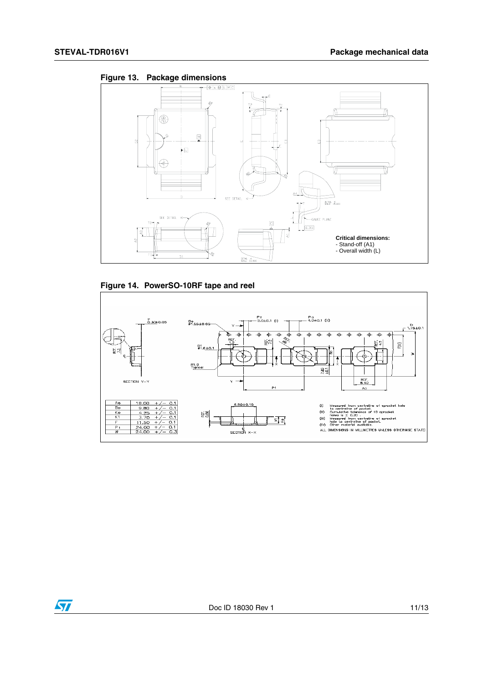





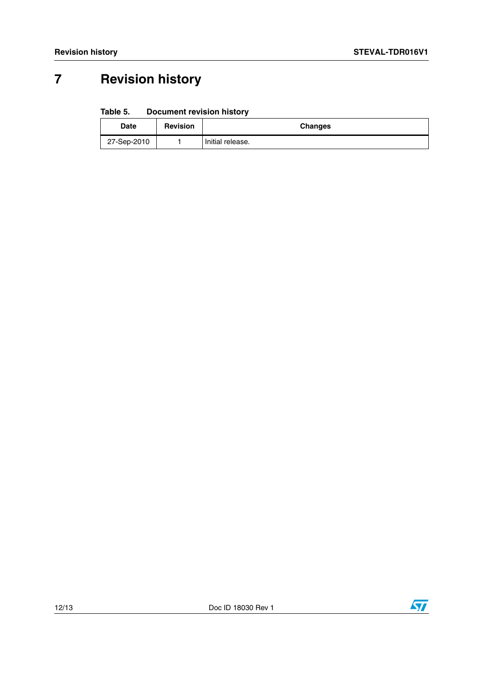# <span id="page-11-0"></span>**7 Revision history**

#### Table 5. **Document revision history**

| Date        | <b>Revision</b> | <b>Changes</b>   |
|-------------|-----------------|------------------|
| 27-Sep-2010 |                 | Initial release. |